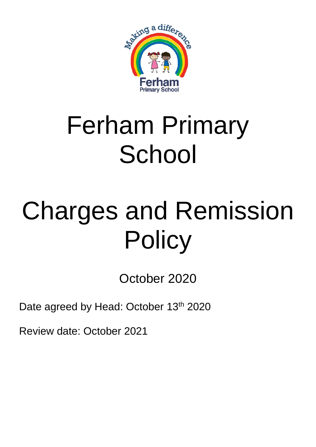

## Ferham Primary **School**

# Charges and Remission **Policy**

October 2020

Date agreed by Head: October 13<sup>th</sup> 2020

Review date: October 2021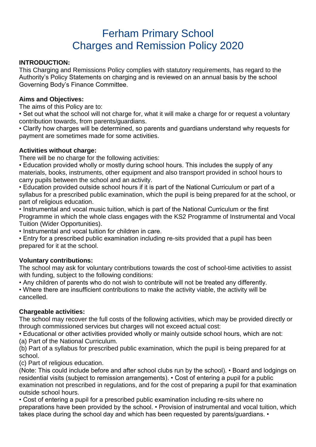### Ferham Primary School Charges and Remission Policy 2020

#### **INTRODUCTION:**

This Charging and Remissions Policy complies with statutory requirements, has regard to the Authority's Policy Statements on charging and is reviewed on an annual basis by the school Governing Body's Finance Committee.

#### **Aims and Objectives:**

The aims of this Policy are to:

• Set out what the school will not charge for, what it will make a charge for or request a voluntary contribution towards, from parents/guardians.

• Clarify how charges will be determined, so parents and guardians understand why requests for payment are sometimes made for some activities.

#### **Activities without charge:**

There will be no charge for the following activities:

• Education provided wholly or mostly during school hours. This includes the supply of any materials, books, instruments, other equipment and also transport provided in school hours to carry pupils between the school and an activity.

• Education provided outside school hours if it is part of the National Curriculum or part of a syllabus for a prescribed public examination, which the pupil is being prepared for at the school, or part of religious education.

• Instrumental and vocal music tuition, which is part of the National Curriculum or the first Programme in which the whole class engages with the KS2 Programme of Instrumental and Vocal Tuition (Wider Opportunities).

• Instrumental and vocal tuition for children in care.

• Entry for a prescribed public examination including re-sits provided that a pupil has been prepared for it at the school.

#### **Voluntary contributions:**

The school may ask for voluntary contributions towards the cost of school-time activities to assist with funding, subject to the following conditions:

• Any children of parents who do not wish to contribute will not be treated any differently.

• Where there are insufficient contributions to make the activity viable, the activity will be cancelled.

#### **Chargeable activities:**

The school may recover the full costs of the following activities, which may be provided directly or through commissioned services but charges will not exceed actual cost:

• Educational or other activities provided wholly or mainly outside school hours, which are not: (a) Part of the National Curriculum.

(b) Part of a syllabus for prescribed public examination, which the pupil is being prepared for at school.

(c) Part of religious education.

(Note: This could include before and after school clubs run by the school). • Board and lodgings on residential visits (subject to remission arrangements). • Cost of entering a pupil for a public examination not prescribed in regulations, and for the cost of preparing a pupil for that examination outside school hours.

• Cost of entering a pupil for a prescribed public examination including re-sits where no preparations have been provided by the school. • Provision of instrumental and vocal tuition, which takes place during the school day and which has been requested by parents/guardians. •